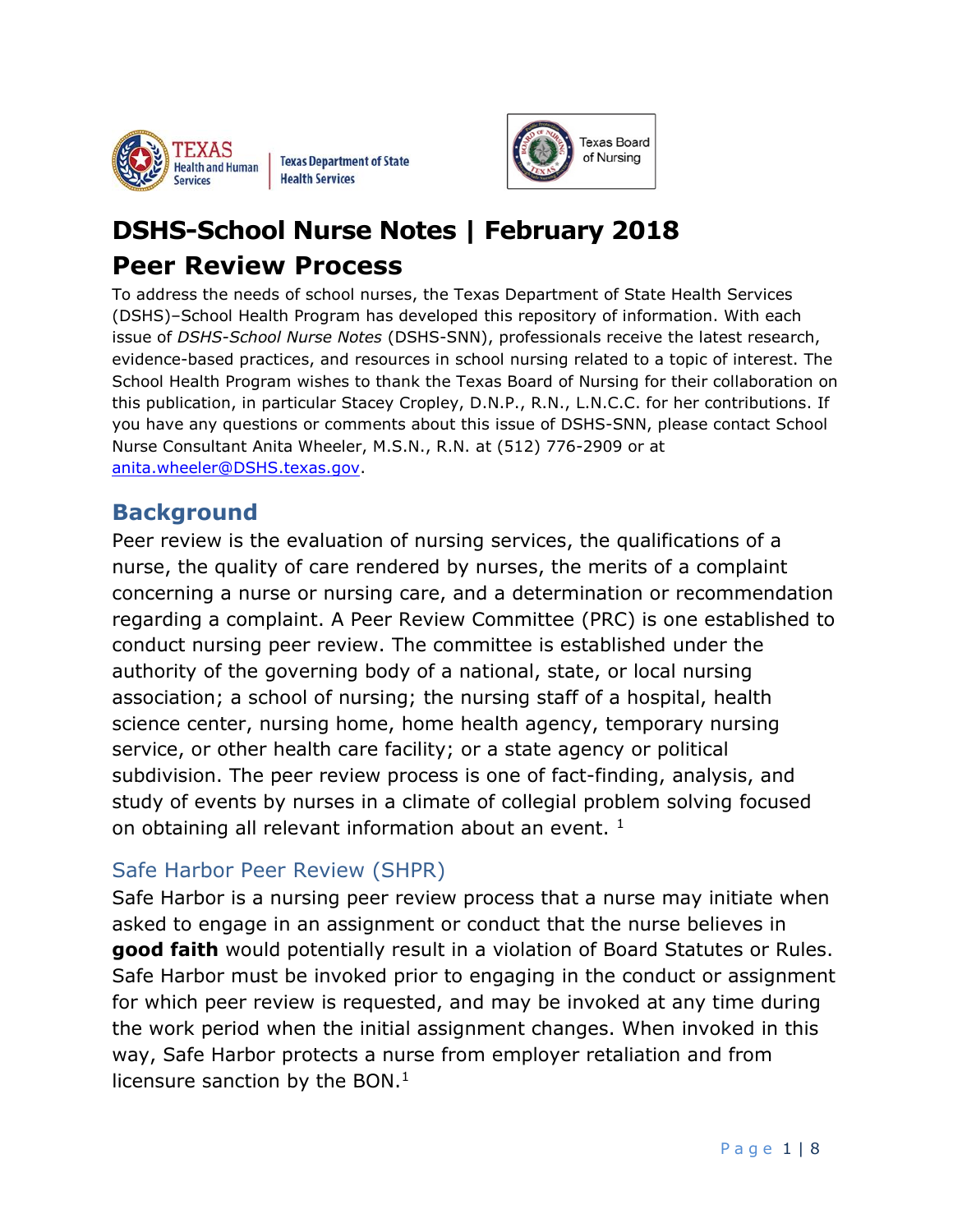

**Texas Department of State Health Services** 



# **DSHS-School Nurse Notes | February 2018 Peer Review Process**

To address the needs of school nurses, the Texas Department of State Health Services (DSHS)–School Health Program has developed this repository of information. With each issue of *DSHS-School Nurse Notes* (DSHS-SNN), professionals receive the latest research, evidence-based practices, and resources in school nursing related to a topic of interest. The School Health Program wishes to thank the Texas Board of Nursing for their collaboration on this publication, in particular Stacey Cropley, D.N.P., R.N., L.N.C.C. for her contributions. If you have any questions or comments about this issue of DSHS-SNN, please contact School Nurse Consultant Anita Wheeler, M.S.N., R.N. at (512) 776-2909 or at [anita.wheeler@DSHS.texas.gov.](mailto:anita.wheeler@DSHS.texas.gov)

### **Background**

Peer review is the evaluation of nursing services, the qualifications of a nurse, the quality of care rendered by nurses, the merits of a complaint concerning a nurse or nursing care, and a determination or recommendation regarding a complaint. A Peer Review Committee (PRC) is one established to conduct nursing peer review. The committee is established under the authority of the governing body of a national, state, or local nursing association; a school of nursing; the nursing staff of a hospital, health science center, nursing home, home health agency, temporary nursing service, or other health care facility; or a state agency or political subdivision. The peer review process is one of fact-finding, analysis, and study of events by nurses in a climate of collegial problem solving focused on obtaining all relevant information about an event.<sup>1</sup>

#### Safe Harbor Peer Review (SHPR)

Safe Harbor is a nursing peer review process that a nurse may initiate when asked to engage in an assignment or conduct that the nurse believes in **good faith** would potentially result in a violation of Board Statutes or Rules. Safe Harbor must be invoked prior to engaging in the conduct or assignment for which peer review is requested, and may be invoked at any time during the work period when the initial assignment changes. When invoked in this way, Safe Harbor protects a nurse from employer retaliation and from licensure sanction by the BON.<sup>1</sup>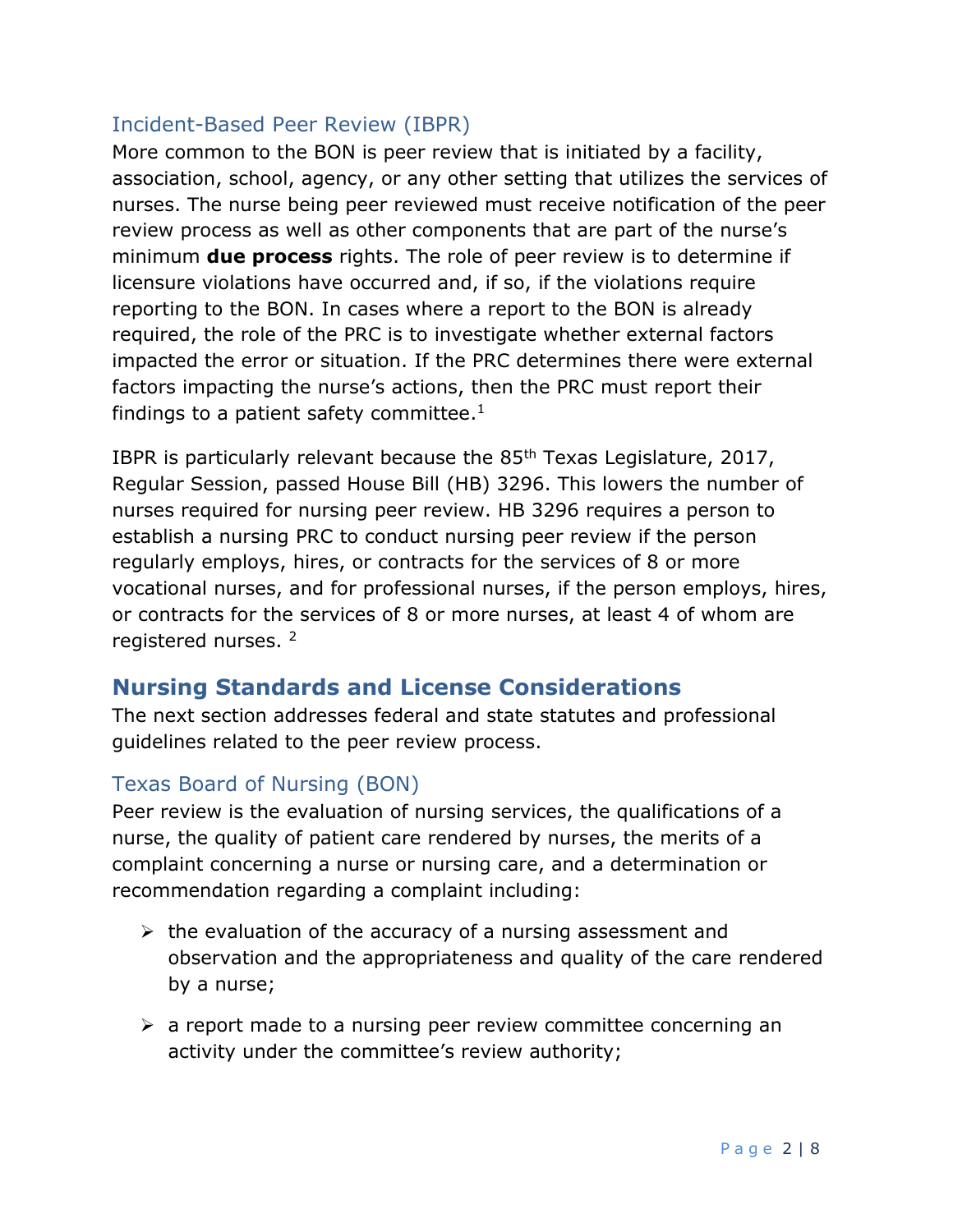#### Incident-Based Peer Review (IBPR)

More common to the BON is peer review that is initiated by a facility, association, school, agency, or any other setting that utilizes the services of nurses. The nurse being peer reviewed must receive notification of the peer review process as well as other components that are part of the nurse's minimum **due process** rights. The role of peer review is to determine if licensure violations have occurred and, if so, if the violations require reporting to the BON. In cases where a report to the BON is already required, the role of the PRC is to investigate whether external factors impacted the error or situation. If the PRC determines there were external factors impacting the nurse's actions, then the PRC must report their findings to a patient safety committee.<sup>1</sup>

IBPR is particularly relevant because the 85th Texas Legislature, 2017, Regular Session, passed House Bill (HB) 3296. This lowers the number of nurses required for nursing peer review. HB 3296 requires a person to establish a nursing PRC to conduct nursing peer review if the person regularly employs, hires, or contracts for the services of 8 or more vocational nurses, and for professional nurses, if the person employs, hires, or contracts for the services of 8 or more nurses, at least 4 of whom are registered nurses. <sup>2</sup>

## **Nursing Standards and License Considerations**

The next section addresses federal and state statutes and professional guidelines related to the peer review process.

#### Texas Board of Nursing (BON)

Peer review is the evaluation of nursing services, the qualifications of a nurse, the quality of patient care rendered by nurses, the merits of a complaint concerning a nurse or nursing care, and a determination or recommendation regarding a complaint including:

- $\triangleright$  the evaluation of the accuracy of a nursing assessment and observation and the appropriateness and quality of the care rendered by a nurse;
- $\triangleright$  a report made to a nursing peer review committee concerning an activity under the committee's review authority;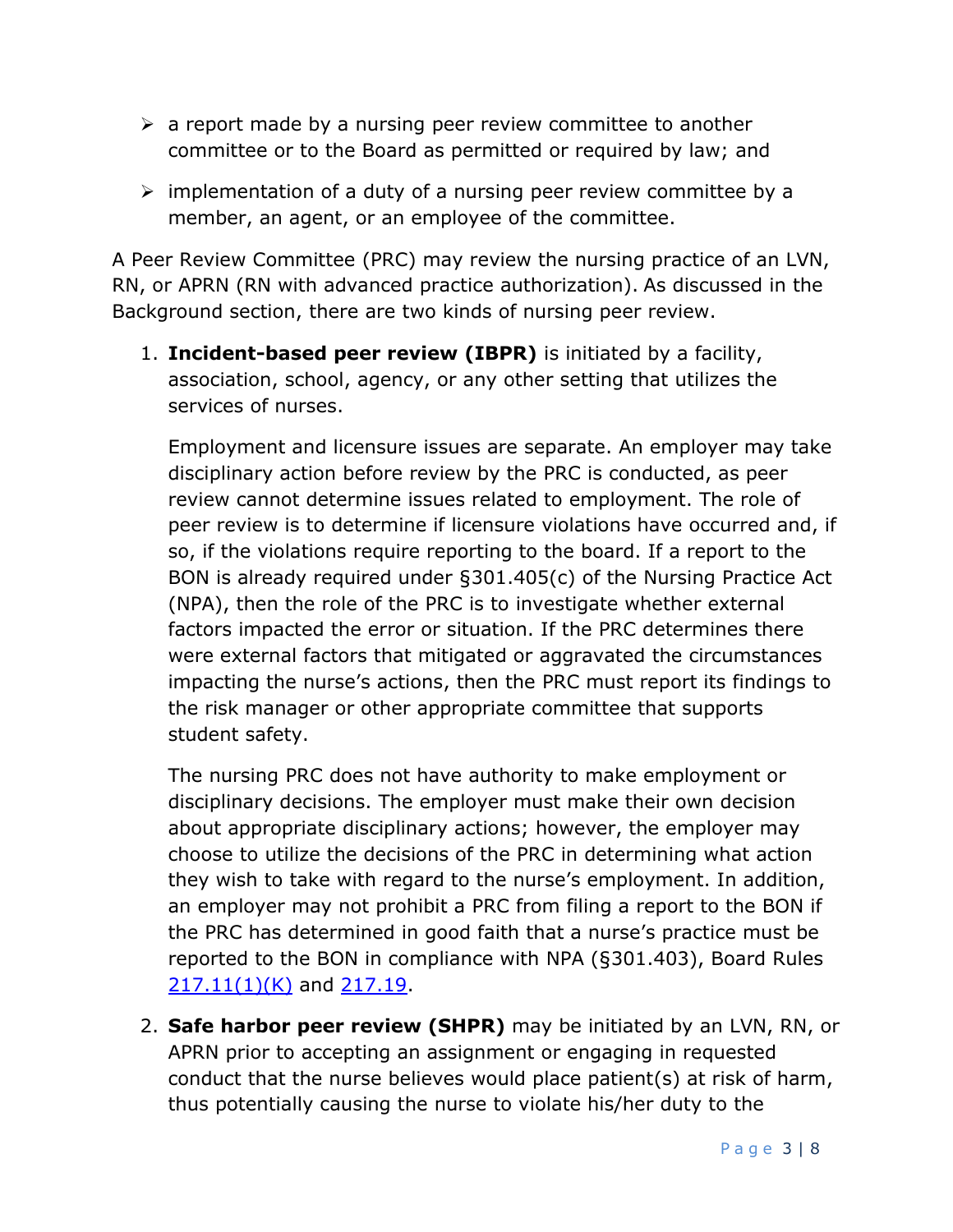- $\triangleright$  a report made by a nursing peer review committee to another committee or to the Board as permitted or required by law; and
- $\triangleright$  implementation of a duty of a nursing peer review committee by a member, an agent, or an employee of the committee.

A Peer Review Committee (PRC) may review the nursing practice of an LVN, RN, or APRN (RN with advanced practice authorization). As discussed in the Background section, there are two kinds of nursing peer review.

1. **Incident-based peer review (IBPR)** is initiated by a facility, association, school, agency, or any other setting that utilizes the services of nurses.

Employment and licensure issues are separate. An employer may take disciplinary action before review by the PRC is conducted, as peer review cannot determine issues related to employment. The role of peer review is to determine if licensure violations have occurred and, if so, if the violations require reporting to the board. If a report to the BON is already required under §301.405(c) of the Nursing Practice Act (NPA), then the role of the PRC is to investigate whether external factors impacted the error or situation. If the PRC determines there were external factors that mitigated or aggravated the circumstances impacting the nurse's actions, then the PRC must report its findings to the risk manager or other appropriate committee that supports student safety.

The nursing PRC does not have authority to make employment or disciplinary decisions. The employer must make their own decision about appropriate disciplinary actions; however, the employer may choose to utilize the decisions of the PRC in determining what action they wish to take with regard to the nurse's employment. In addition, an employer may not prohibit a PRC from filing a report to the BON if the PRC has determined in good faith that a nurse's practice must be reported to the BON in compliance with NPA (§301.403), Board Rules [217.11\(1\)\(K\)](http://www.bon.texas.gov/rr_current/217-11.asp) and [217.19.](http://www.bon.texas.gov/rr_current/217-19.asp)

2. **Safe harbor peer review (SHPR)** may be initiated by an LVN, RN, or APRN prior to accepting an assignment or engaging in requested conduct that the nurse believes would place patient(s) at risk of harm, thus potentially causing the nurse to violate his/her duty to the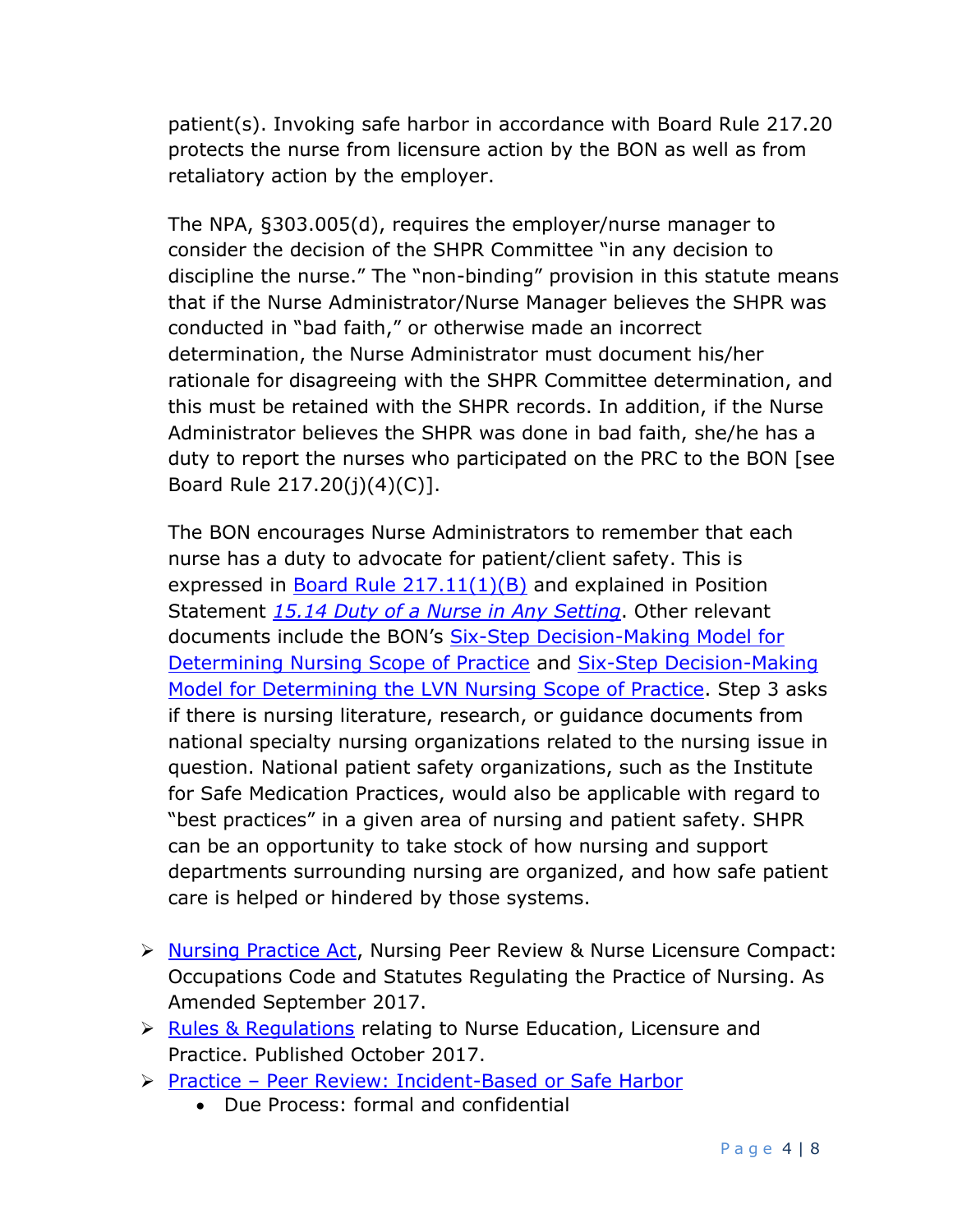patient(s). Invoking safe harbor in accordance with Board Rule 217.20 protects the nurse from licensure action by the BON as well as from retaliatory action by the employer.

The NPA, §303.005(d), requires the employer/nurse manager to consider the decision of the SHPR Committee "in any decision to discipline the nurse." The "non-binding" provision in this statute means that if the Nurse Administrator/Nurse Manager believes the SHPR was conducted in "bad faith," or otherwise made an incorrect determination, the Nurse Administrator must document his/her rationale for disagreeing with the SHPR Committee determination, and this must be retained with the SHPR records. In addition, if the Nurse Administrator believes the SHPR was done in bad faith, she/he has a duty to report the nurses who participated on the PRC to the BON [see Board Rule 217.20(j)(4)(C)].

The BON encourages Nurse Administrators to remember that each nurse has a duty to advocate for patient/client safety. This is expressed in **Board [Rule 217.11\(1\)\(B\)](http://www.bon.texas.gov/rr_current/217-11.asp)** and explained in Position Statement *[15.14 Duty of a Nurse in Any Setting](http://www.bon.texas.gov/practice_bon_position_statements_content.asp#15.14)*. Other relevant documents include the BON's **Six-Step Decision-Making Model for** [Determining Nursing Scope of Practice](http://www.bon.texas.gov/pdfs/publication_pdfs/dectree.pdf) and [Six-Step Decision-Making](http://www.bon.texas.gov/pdfs/publication_pdfs/dectree_LVN.pdf)  [Model for Determining the LVN Nursing Scope of Practice.](http://www.bon.texas.gov/pdfs/publication_pdfs/dectree_LVN.pdf) Step 3 asks if there is nursing literature, research, or guidance documents from national specialty nursing organizations related to the nursing issue in question. National patient safety organizations, such as the Institute for Safe Medication Practices, would also be applicable with regard to "best practices" in a given area of nursing and patient safety. SHPR can be an opportunity to take stock of how nursing and support departments surrounding nursing are organized, and how safe patient care is helped or hindered by those systems.

- > [Nursing Practice Act,](https://www.bon.texas.gov/laws_and_rules_nursing_practice_act.asp) Nursing Peer Review & Nurse Licensure Compact: Occupations Code and Statutes Regulating the Practice of Nursing. As Amended September 2017.
- ▶ [Rules & Regulations](https://www.bon.texas.gov/laws_and_rules_rules_and_regulations.asp) relating to Nurse Education, Licensure and Practice. Published October 2017.
- Practice [Peer Review: Incident-Based or Safe Harbor](https://www.bon.texas.gov/practice_peer_review.asp)
	- Due Process: formal and confidential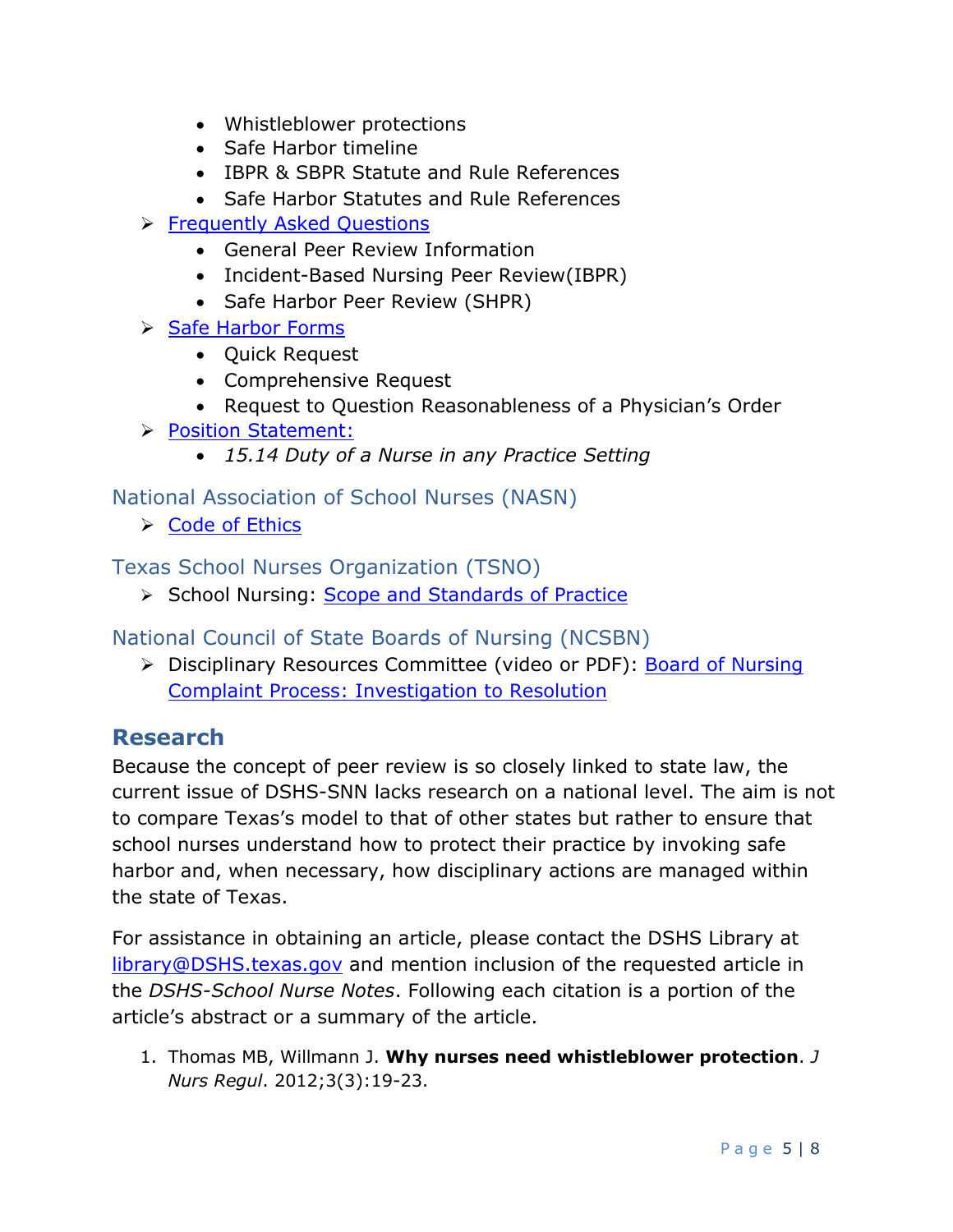- Whistleblower protections
- Safe Harbor timeline
- IBPR & SBPR Statute and Rule References
- Safe Harbor Statutes and Rule References
- ▶ [Frequently Asked Questions](https://www.bon.texas.gov/faq_peer_review.asp)
	- General Peer Review Information
	- Incident-Based Nursing Peer Review(IBPR)
	- Safe Harbor Peer Review (SHPR)
- $\triangleright$  [Safe Harbor Forms](https://www.bon.texas.gov/forms_safe_harbor.asp)
	- Quick Request
	- Comprehensive Request
	- Request to Question Reasonableness of a Physician's Order
- **[Position Statement:](https://www.bon.texas.gov/practice_bon_position_statements.asp)** 
	- *15.14 Duty of a Nurse in any Practice Setting*

National Association of School Nurses (NASN)

 $\triangleright$  [Code of Ethics](https://www.nasn.org/nasn-resources/professional-topics/codeofethics)

Texas School Nurses Organization (TSNO)

School Nursing: [Scope and Standards of Practice](http://www.txsno.org/tsnoresources/schoolnursingscopestandards)

National Council of State Boards of Nursing (NCSBN)

> Disciplinary Resources Committee (video or PDF): Board of Nursing [Complaint Process: Investigation to Resolution](https://www.ncsbn.org/426.htm)

## **Research**

Because the concept of peer review is so closely linked to state law, the current issue of DSHS-SNN lacks research on a national level. The aim is not to compare Texas's model to that of other states but rather to ensure that school nurses understand how to protect their practice by invoking safe harbor and, when necessary, how disciplinary actions are managed within the state of Texas.

For assistance in obtaining an article, please contact the DSHS Library at [library@DSHS.texas.gov](mailto:library@DSHS.texas.gov) and mention inclusion of the requested article in the *DSHS-School Nurse Notes*. Following each citation is a portion of the article's abstract or a summary of the article.

1. Thomas MB, Willmann J. **Why nurses need whistleblower protection**. *J Nurs Regul*. 2012;3(3):19-23.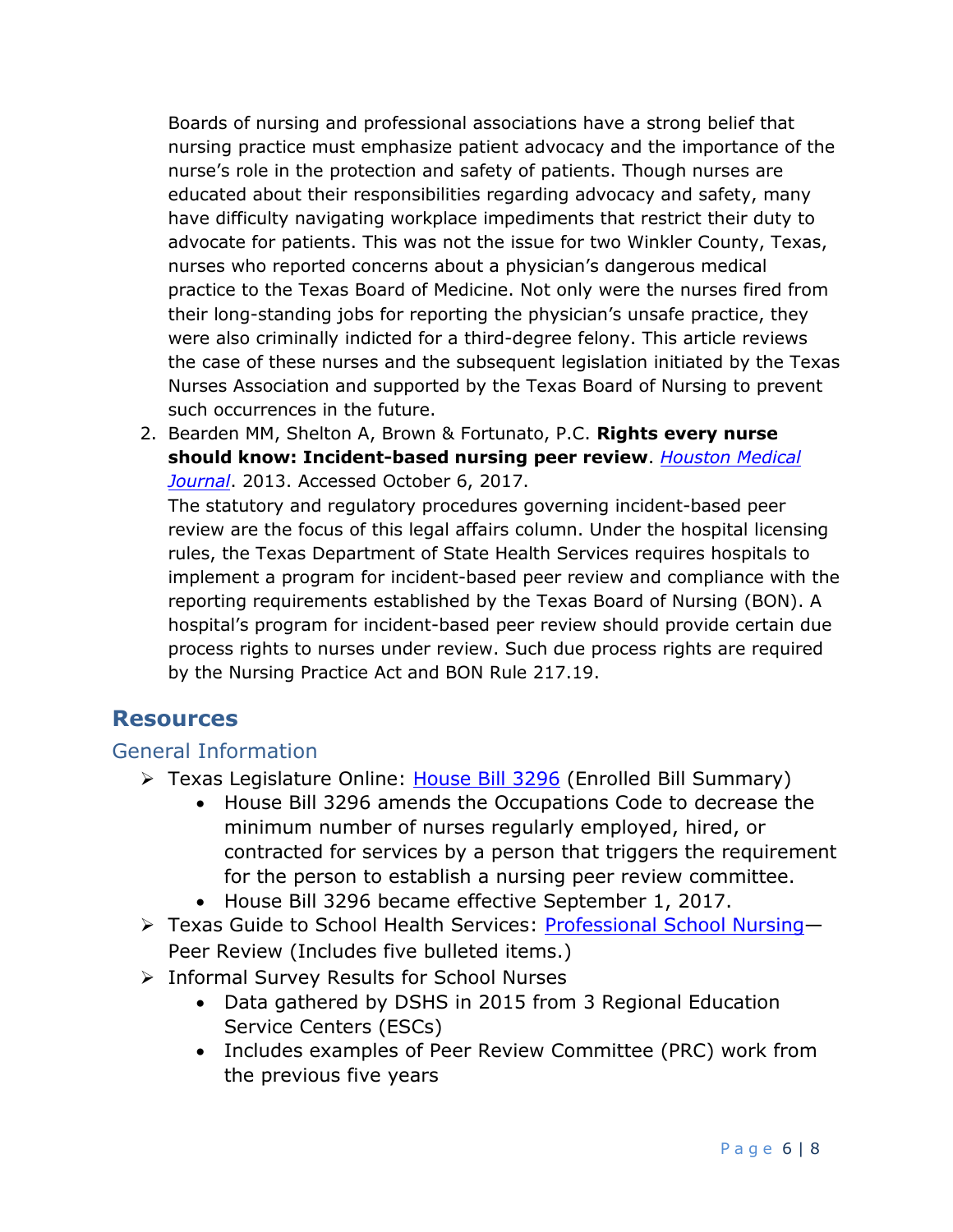Boards of nursing and professional associations have a strong belief that nursing practice must emphasize patient advocacy and the importance of the nurse's role in the protection and safety of patients. Though nurses are educated about their responsibilities regarding advocacy and safety, many have difficulty navigating workplace impediments that restrict their duty to advocate for patients. This was not the issue for two Winkler County, Texas, nurses who reported concerns about a physician's dangerous medical practice to the Texas Board of Medicine. Not only were the nurses fired from their long-standing jobs for reporting the physician's unsafe practice, they were also criminally indicted for a third-degree felony. This article reviews the case of these nurses and the subsequent legislation initiated by the Texas Nurses Association and supported by the Texas Board of Nursing to prevent such occurrences in the future.

2. Bearden MM, Shelton A, Brown & Fortunato, P.C. **Rights every nurse should know: Incident-based nursing peer review**. *[Houston Medical](http://www.mjhnews.com/health-care-news-specialty-columns-88/legal-affairs/555-rights-every-nurse-should-know-incident-based-nursing-peer-review.)  [Journal](http://www.mjhnews.com/health-care-news-specialty-columns-88/legal-affairs/555-rights-every-nurse-should-know-incident-based-nursing-peer-review.)*. 2013. Accessed October 6, 2017.

The statutory and regulatory procedures governing incident-based peer review are the focus of this legal affairs column. Under the hospital licensing rules, the Texas Department of State Health Services requires hospitals to implement a program for incident-based peer review and compliance with the reporting requirements established by the Texas Board of Nursing (BON). A hospital's program for incident-based peer review should provide certain due process rights to nurses under review. Such due process rights are required by the Nursing Practice Act and BON Rule 217.19.

#### **Resources**

#### General Information

- Texas Legislature Online: [House Bill 3296](http://www.capitol.state.tx.us/BillLookup/Text.aspx?LegSess=85R&Bill=HB3296) (Enrolled Bill Summary)
	- House Bill 3296 amends the Occupations Code to decrease the minimum number of nurses regularly employed, hired, or contracted for services by a person that triggers the requirement for the person to establish a nursing peer review committee.
	- House Bill 3296 became effective September 1, 2017.
- Texas Guide to School Health Services: [Professional School Nursing](http://www.dshs.texas.gov/schoolhealth/tgshs/profsclnursing/) Peer Review (Includes five bulleted items.)
- Informal Survey Results for School Nurses
	- Data gathered by DSHS in 2015 from 3 Regional Education Service Centers (ESCs)
	- Includes examples of Peer Review Committee (PRC) work from the previous five years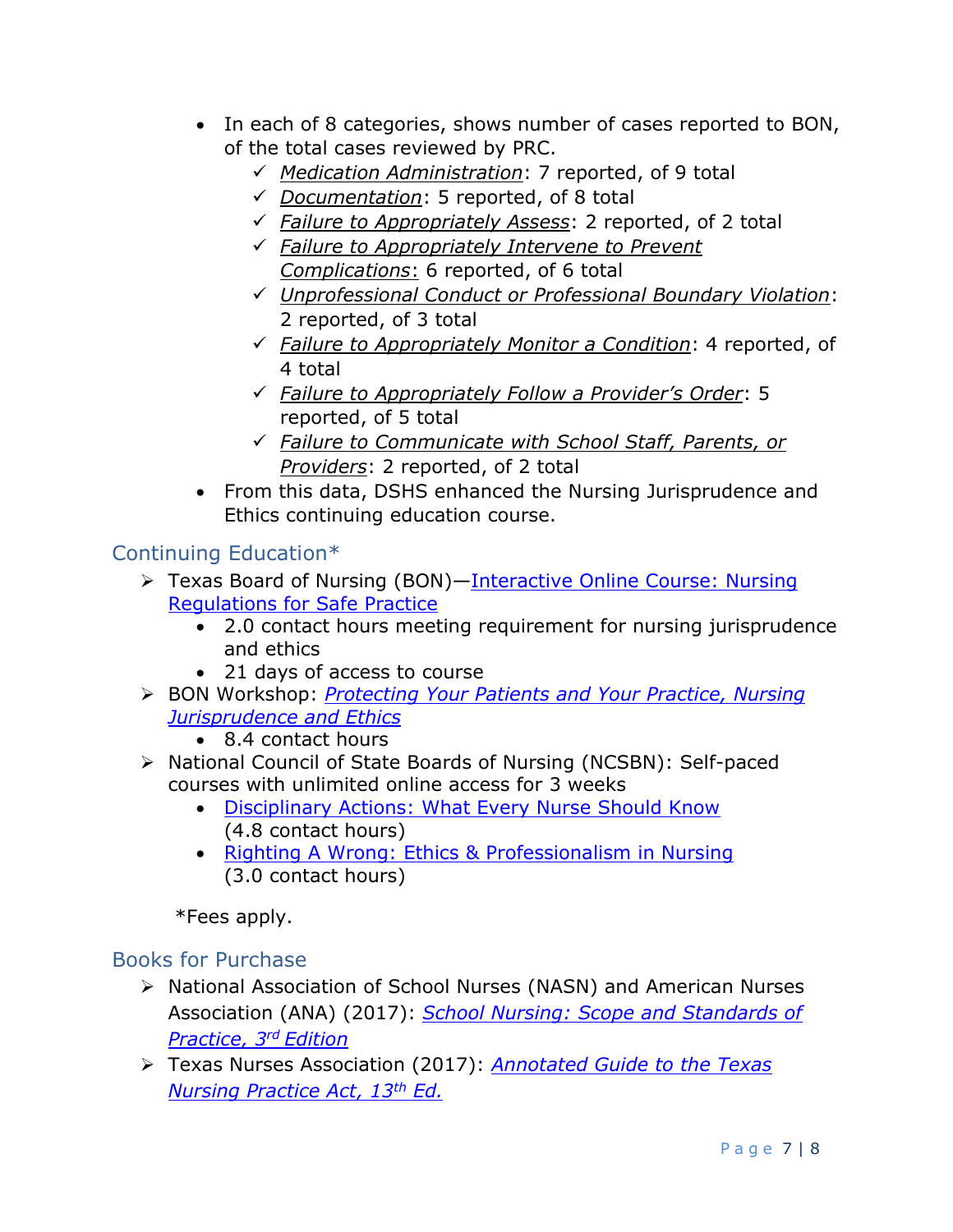- In each of 8 categories, shows number of cases reported to BON, of the total cases reviewed by PRC.
	- *Medication Administration*: 7 reported, of 9 total
	- *Documentation*: 5 reported, of 8 total
	- *Failure to Appropriately Assess*: 2 reported, of 2 total
	- *Failure to Appropriately Intervene to Prevent Complications*: 6 reported, of 6 total
	- *Unprofessional Conduct or Professional Boundary Violation*: 2 reported, of 3 total
	- *Failure to Appropriately Monitor a Condition*: 4 reported, of 4 total
	- *Failure to Appropriately Follow a Provider's Order*: 5 reported, of 5 total
	- *Failure to Communicate with School Staff, Parents, or Providers*: 2 reported, of 2 total
- From this data, DSHS enhanced the Nursing Jurisprudence and Ethics continuing education course.

## Continuing Education\*

- ▶ Texas Board of Nursing (BON)—Interactive Online Course: Nursing [Regulations for Safe Practice](https://www.bon.texas.gov/catalog/product/#bon-nrsp)
	- 2.0 contact hours meeting requirement for nursing jurisprudence and ethics
	- 21 days of access to course
- BON Workshop: *[Protecting Your Patients and Your Practice, Nursing](https://www.bon.texas.gov/catalog/#workshops)  [Jurisprudence and Ethics](https://www.bon.texas.gov/catalog/#workshops)*
	- 8.4 contact hours
- National Council of State Boards of Nursing (NCSBN): Self-paced courses with unlimited online access for 3 weeks
	- [Disciplinary Actions: What Every Nurse Should Know](https://learningext.com/nurses/p/disciplinary_actions) (4.8 contact hours)
	- [Righting A Wrong: Ethics &](https://learningext.com/nurses/p/ethics_professionalism) Professionalism in Nursing (3.0 contact hours)

\*Fees apply.

## Books for Purchase

- ▶ National Association of School Nurses (NASN) and American Nurses Association (ANA) (2017): *[School Nursing: Scope and Standards of](https://portal.nasn.org/members_online/members/viewitem.asp?item=S001&catalog=MAN&pn=2&af=NASN)  [Practice, 3](https://portal.nasn.org/members_online/members/viewitem.asp?item=S001&catalog=MAN&pn=2&af=NASN) rd Edition*
- Texas Nurses Association (2017): *[Annotated Guide to the Texas](https://texasnurses.site-ym.com/store/ViewProduct.aspx?id=9577416)  [Nursing Practice Act, 13](https://texasnurses.site-ym.com/store/ViewProduct.aspx?id=9577416)th Ed.*